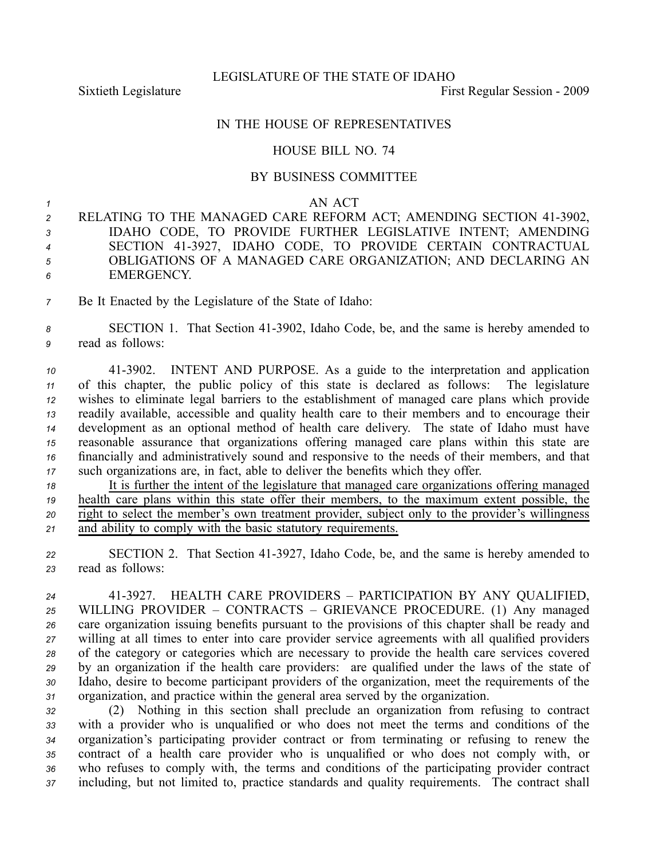LEGISLATURE OF THE STATE OF IDAHO

Sixtieth Legislature **First** Regular Session - 2009

## IN THE HOUSE OF REPRESENTATIVES

## HOUSE BILL NO. 74

## BY BUSINESS COMMITTEE

*1* AN ACT

 RELATING TO THE MANAGED CARE REFORM ACT; AMENDING SECTION 413902, IDAHO CODE, TO PROVIDE FURTHER LEGISLATIVE INTENT; AMENDING SECTION 413927, IDAHO CODE, TO PROVIDE CERTAIN CONTRACTUAL OBLIGATIONS OF A MANAGED CARE ORGANIZATION; AND DECLARING AN EMERGENCY.

*<sup>7</sup>* Be It Enacted by the Legislature of the State of Idaho:

*<sup>8</sup>* SECTION 1. That Section 413902, Idaho Code, be, and the same is hereby amended to *<sup>9</sup>* read as follows:

 413902. INTENT AND PURPOSE. As <sup>a</sup> guide to the interpretation and application of this chapter, the public policy of this state is declared as follows: The legislature wishes to eliminate legal barriers to the establishment of managed care plans which provide readily available, accessible and quality health care to their members and to encourage their development as an optional method of health care delivery. The state of Idaho must have reasonable assurance that organizations offering managed care plans within this state are financially and administratively sound and responsive to the needs of their members, and that such organizations are, in fact, able to deliver the benefits which they offer.

 It is further the intent of the legislature that managed care organizations offering managed health care plans within this state offer their members, to the maximum extent possible, the right to select the member's own treatment provider, subject only to the provider's willingness and ability to comply with the basic statutory requirements.

22 SECTION 2. That Section 41-3927, Idaho Code, be, and the same is hereby amended to *<sup>23</sup>* read as follows:

 413927. HEALTH CARE PROVIDERS – PARTICIPATION BY ANY QUALIFIED, WILLING PROVIDER – CONTRACTS – GRIEVANCE PROCEDURE. (1) Any managed care organization issuing benefits pursuan<sup>t</sup> to the provisions of this chapter shall be ready and willing at all times to enter into care provider service agreements with all qualified providers of the category or categories which are necessary to provide the health care services covered by an organization if the health care providers: are qualified under the laws of the state of Idaho, desire to become participant providers of the organization, meet the requirements of the organization, and practice within the general area served by the organization.

 (2) Nothing in this section shall preclude an organization from refusing to contract with <sup>a</sup> provider who is unqualified or who does not meet the terms and conditions of the organization's participating provider contract or from terminating or refusing to renew the contract of <sup>a</sup> health care provider who is unqualified or who does not comply with, or who refuses to comply with, the terms and conditions of the participating provider contract including, but not limited to, practice standards and quality requirements. The contract shall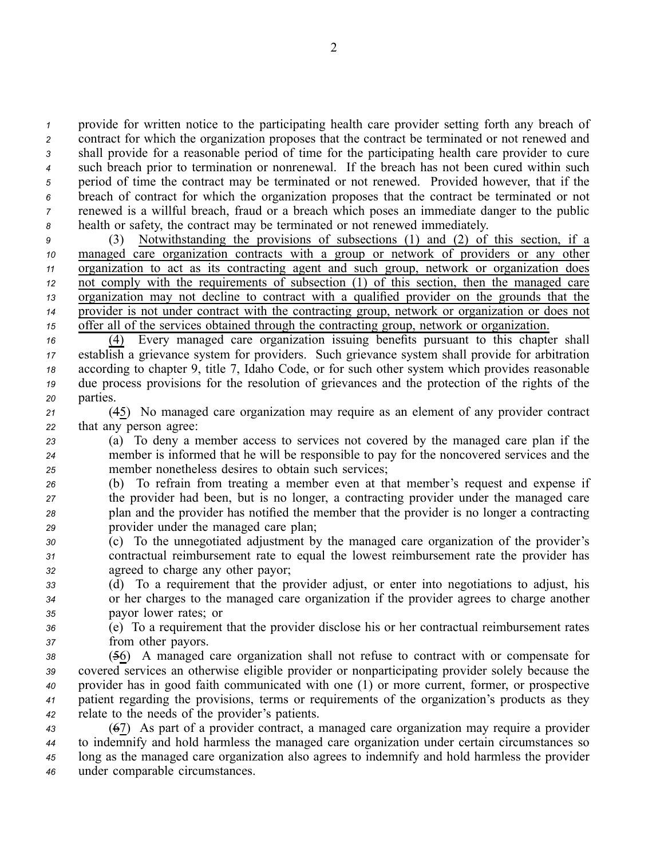provide for written notice to the participating health care provider setting forth any breach of contract for which the organization proposes that the contract be terminated or not renewed and shall provide for <sup>a</sup> reasonable period of time for the participating health care provider to cure such breach prior to termination or nonrenewal. If the breach has not been cured within such period of time the contract may be terminated or not renewed. Provided however, that if the breach of contract for which the organization proposes that the contract be terminated or not renewed is <sup>a</sup> willful breach, fraud or <sup>a</sup> breach which poses an immediate danger to the public health or safety, the contract may be terminated or not renewed immediately.

 (3) Notwithstanding the provisions of subsections (1) and (2) of this section, if <sup>a</sup> managed care organization contracts with <sup>a</sup> group or network of providers or any other organization to act as its contracting agen<sup>t</sup> and such group, network or organization does not comply with the requirements of subsection (1) of this section, then the managed care organization may not decline to contract with <sup>a</sup> qualified provider on the grounds that the provider is not under contract with the contracting group, network or organization or does not offer all of the services obtained through the contracting group, network or organization.

 (4) Every managed care organization issuing benefits pursuan<sup>t</sup> to this chapter shall establish <sup>a</sup> grievance system for providers. Such grievance system shall provide for arbitration according to chapter 9, title 7, Idaho Code, or for such other system which provides reasonable due process provisions for the resolution of grievances and the protection of the rights of the *<sup>20</sup>* parties.

*<sup>21</sup>* (45) No managed care organization may require as an element of any provider contract *<sup>22</sup>* that any person agree:

*<sup>23</sup>* (a) To deny <sup>a</sup> member access to services not covered by the managed care plan if the *<sup>24</sup>* member is informed that he will be responsible to pay for the noncovered services and the *<sup>25</sup>* member nonetheless desires to obtain such services;

 (b) To refrain from treating <sup>a</sup> member even at that member's reques<sup>t</sup> and expense if the provider had been, but is no longer, <sup>a</sup> contracting provider under the managed care plan and the provider has notified the member that the provider is no longer <sup>a</sup> contracting provider under the managed care plan;

*<sup>30</sup>* (c) To the unnegotiated adjustment by the managed care organization of the provider's *<sup>31</sup>* contractual reimbursement rate to equal the lowest reimbursement rate the provider has *<sup>32</sup>* agreed to charge any other payor;

*<sup>33</sup>* (d) To <sup>a</sup> requirement that the provider adjust, or enter into negotiations to adjust, his *<sup>34</sup>* or her charges to the managed care organization if the provider agrees to charge another *<sup>35</sup>* payor lower rates; or

*<sup>36</sup>* (e) To <sup>a</sup> requirement that the provider disclose his or her contractual reimbursement rates *<sup>37</sup>* from other payors.

 (56) A managed care organization shall not refuse to contract with or compensate for covered services an otherwise eligible provider or nonparticipating provider solely because the provider has in good faith communicated with one (1) or more current, former, or prospective patient regarding the provisions, terms or requirements of the organization's products as they relate to the needs of the provider's patients.

 (67) As par<sup>t</sup> of <sup>a</sup> provider contract, <sup>a</sup> managed care organization may require <sup>a</sup> provider to indemnify and hold harmless the managed care organization under certain circumstances so long as the managed care organization also agrees to indemnify and hold harmless the provider under comparable circumstances.